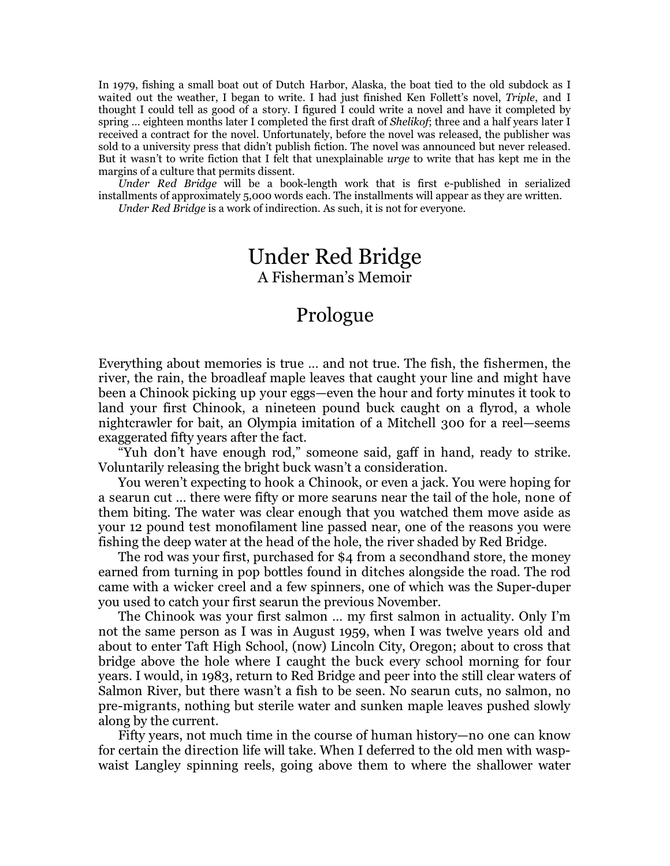In 1979, fishing a small boat out of Dutch Harbor, Alaska, the boat tied to the old subdock as I waited out the weather, I began to write. I had just finished Ken Follett's novel, *Triple*, and I thought I could tell as good of a story. I figured I could write a novel and have it completed by spring … eighteen months later I completed the first draft of *Shelikof*; three and a half years later I received a contract for the novel. Unfortunately, before the novel was released, the publisher was sold to a university press that didn't publish fiction. The novel was announced but never released. But it wasn't to write fiction that I felt that unexplainable *urge* to write that has kept me in the margins of a culture that permits dissent.

*Under Red Bridge* will be a book-length work that is first e-published in serialized installments of approximately 5,000 words each. The installments will appear as they are written. *Under Red Bridge* is a work of indirection. As such, it is not for everyone.

## Under Red Bridge A Fisherman's Memoir

## Prologue

Everything about memories is true … and not true. The fish, the fishermen, the river, the rain, the broadleaf maple leaves that caught your line and might have been a Chinook picking up your eggs—even the hour and forty minutes it took to land your first Chinook, a nineteen pound buck caught on a flyrod, a whole nightcrawler for bait, an Olympia imitation of a Mitchell 300 for a reel—seems exaggerated fifty years after the fact.

"Yuh don't have enough rod," someone said, gaff in hand, ready to strike. Voluntarily releasing the bright buck wasn't a consideration.

You weren't expecting to hook a Chinook, or even a jack. You were hoping for a searun cut … there were fifty or more searuns near the tail of the hole, none of them biting. The water was clear enough that you watched them move aside as your 12 pound test monofilament line passed near, one of the reasons you were fishing the deep water at the head of the hole, the river shaded by Red Bridge.

The rod was your first, purchased for \$4 from a secondhand store, the money earned from turning in pop bottles found in ditches alongside the road. The rod came with a wicker creel and a few spinners, one of which was the Super-duper you used to catch your first searun the previous November.

The Chinook was your first salmon … my first salmon in actuality. Only I'm not the same person as I was in August 1959, when I was twelve years old and about to enter Taft High School, (now) Lincoln City, Oregon; about to cross that bridge above the hole where I caught the buck every school morning for four years. I would, in 1983, return to Red Bridge and peer into the still clear waters of Salmon River, but there wasn't a fish to be seen. No searun cuts, no salmon, no pre-migrants, nothing but sterile water and sunken maple leaves pushed slowly along by the current.

Fifty years, not much time in the course of human history—no one can know for certain the direction life will take. When I deferred to the old men with waspwaist Langley spinning reels, going above them to where the shallower water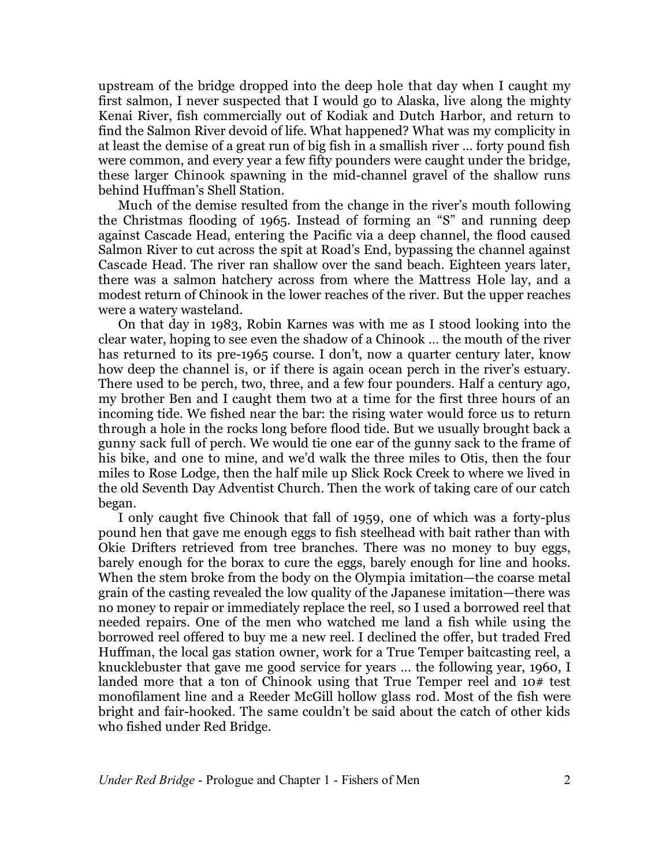upstream of the bridge dropped into the deep hole that day when I caught my first salmon, I never suspected that I would go to Alaska, live along the mighty Kenai River, fish commercially out of Kodiak and Dutch Harbor, and return to find the Salmon River devoid of life. What happened? What was my complicity in at least the demise of a great run of big fish in a smallish river … forty pound fish were common, and every year a few fifty pounders were caught under the bridge, these larger Chinook spawning in the mid-channel gravel of the shallow runs behind Huffman's Shell Station.

Much of the demise resulted from the change in the river's mouth following the Christmas flooding of 1965. Instead of forming an "S" and running deep against Cascade Head, entering the Pacific via a deep channel, the flood caused Salmon River to cut across the spit at Road's End, bypassing the channel against Cascade Head. The river ran shallow over the sand beach. Eighteen years later, there was a salmon hatchery across from where the Mattress Hole lay, and a modest return of Chinook in the lower reaches of the river. But the upper reaches were a watery wasteland.

On that day in 1983, Robin Karnes was with me as I stood looking into the clear water, hoping to see even the shadow of a Chinook … the mouth of the river has returned to its pre-1965 course. I don't, now a quarter century later, know how deep the channel is, or if there is again ocean perch in the river's estuary. There used to be perch, two, three, and a few four pounders. Half a century ago, my brother Ben and I caught them two at a time for the first three hours of an incoming tide. We fished near the bar: the rising water would force us to return through a hole in the rocks long before flood tide. But we usually brought back a gunny sack full of perch. We would tie one ear of the gunny sack to the frame of his bike, and one to mine, and we'd walk the three miles to Otis, then the four miles to Rose Lodge, then the half mile up Slick Rock Creek to where we lived in the old Seventh Day Adventist Church. Then the work of taking care of our catch began.

I only caught five Chinook that fall of 1959, one of which was a forty-plus pound hen that gave me enough eggs to fish steelhead with bait rather than with Okie Drifters retrieved from tree branches. There was no money to buy eggs, barely enough for the borax to cure the eggs, barely enough for line and hooks. When the stem broke from the body on the Olympia imitation—the coarse metal grain of the casting revealed the low quality of the Japanese imitation—there was no money to repair or immediately replace the reel, so I used a borrowed reel that needed repairs. One of the men who watched me land a fish while using the borrowed reel offered to buy me a new reel. I declined the offer, but traded Fred Huffman, the local gas station owner, work for a True Temper baitcasting reel, a knucklebuster that gave me good service for years … the following year, 1960, I landed more that a ton of Chinook using that True Temper reel and 10# test monofilament line and a Reeder McGill hollow glass rod. Most of the fish were bright and fair-hooked. The same couldn't be said about the catch of other kids who fished under Red Bridge.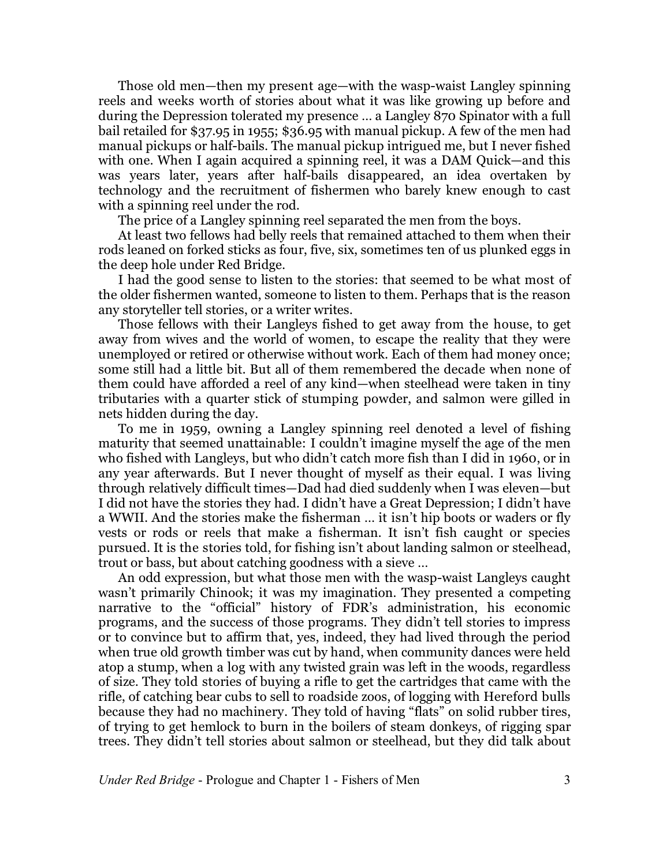Those old men—then my present age—with the wasp-waist Langley spinning reels and weeks worth of stories about what it was like growing up before and during the Depression tolerated my presence … a Langley 870 Spinator with a full bail retailed for \$37.95 in 1955; \$36.95 with manual pickup. A few of the men had manual pickups or half-bails. The manual pickup intrigued me, but I never fished with one. When I again acquired a spinning reel, it was a DAM Quick—and this was years later, years after half-bails disappeared, an idea overtaken by technology and the recruitment of fishermen who barely knew enough to cast with a spinning reel under the rod.

The price of a Langley spinning reel separated the men from the boys.

At least two fellows had belly reels that remained attached to them when their rods leaned on forked sticks as four, five, six, sometimes ten of us plunked eggs in the deep hole under Red Bridge.

I had the good sense to listen to the stories: that seemed to be what most of the older fishermen wanted, someone to listen to them. Perhaps that is the reason any storyteller tell stories, or a writer writes.

Those fellows with their Langleys fished to get away from the house, to get away from wives and the world of women, to escape the reality that they were unemployed or retired or otherwise without work. Each of them had money once; some still had a little bit. But all of them remembered the decade when none of them could have afforded a reel of any kind—when steelhead were taken in tiny tributaries with a quarter stick of stumping powder, and salmon were gilled in nets hidden during the day.

To me in 1959, owning a Langley spinning reel denoted a level of fishing maturity that seemed unattainable: I couldn't imagine myself the age of the men who fished with Langleys, but who didn't catch more fish than I did in 1960, or in any year afterwards. But I never thought of myself as their equal. I was living through relatively difficult times—Dad had died suddenly when I was eleven—but I did not have the stories they had. I didn't have a Great Depression; I didn't have a WWII. And the stories make the fisherman … it isn't hip boots or waders or fly vests or rods or reels that make a fisherman. It isn't fish caught or species pursued. It is the stories told, for fishing isn't about landing salmon or steelhead, trout or bass, but about catching goodness with a sieve …

An odd expression, but what those men with the wasp-waist Langleys caught wasn't primarily Chinook; it was my imagination. They presented a competing narrative to the "official" history of FDR's administration, his economic programs, and the success of those programs. They didn't tell stories to impress or to convince but to affirm that, yes, indeed, they had lived through the period when true old growth timber was cut by hand, when community dances were held atop a stump, when a log with any twisted grain was left in the woods, regardless of size. They told stories of buying a rifle to get the cartridges that came with the rifle, of catching bear cubs to sell to roadside zoos, of logging with Hereford bulls because they had no machinery. They told of having "flats" on solid rubber tires, of trying to get hemlock to burn in the boilers of steam donkeys, of rigging spar trees. They didn't tell stories about salmon or steelhead, but they did talk about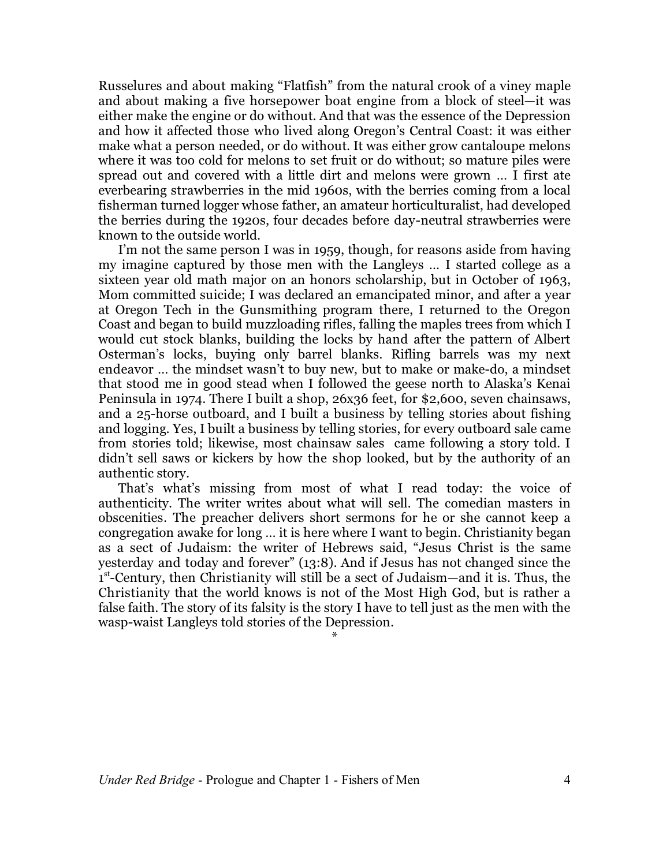Russelures and about making "Flatfish" from the natural crook of a viney maple and about making a five horsepower boat engine from a block of steel—it was either make the engine or do without. And that was the essence of the Depression and how it affected those who lived along Oregon's Central Coast: it was either make what a person needed, or do without. It was either grow cantaloupe melons where it was too cold for melons to set fruit or do without; so mature piles were spread out and covered with a little dirt and melons were grown … I first ate everbearing strawberries in the mid 1960s, with the berries coming from a local fisherman turned logger whose father, an amateur horticulturalist, had developed the berries during the 1920s, four decades before day-neutral strawberries were known to the outside world.

I'm not the same person I was in 1959, though, for reasons aside from having my imagine captured by those men with the Langleys … I started college as a sixteen year old math major on an honors scholarship, but in October of 1963, Mom committed suicide; I was declared an emancipated minor, and after a year at Oregon Tech in the Gunsmithing program there, I returned to the Oregon Coast and began to build muzzloading rifles, falling the maples trees from which I would cut stock blanks, building the locks by hand after the pattern of Albert Osterman's locks, buying only barrel blanks. Rifling barrels was my next endeavor … the mindset wasn't to buy new, but to make or make-do, a mindset that stood me in good stead when I followed the geese north to Alaska's Kenai Peninsula in 1974. There I built a shop, 26x36 feet, for \$2,600, seven chainsaws, and a 25-horse outboard, and I built a business by telling stories about fishing and logging. Yes, I built a business by telling stories, for every outboard sale came from stories told; likewise, most chainsaw sales came following a story told. I didn't sell saws or kickers by how the shop looked, but by the authority of an authentic story.

That's what's missing from most of what I read today: the voice of authenticity. The writer writes about what will sell. The comedian masters in obscenities. The preacher delivers short sermons for he or she cannot keep a congregation awake for long … it is here where I want to begin. Christianity began as a sect of Judaism: the writer of Hebrews said, "Jesus Christ is the same yesterday and today and forever" (13:8). And if Jesus has not changed since the 1<sup>st</sup>-Century, then Christianity will still be a sect of Judaism—and it is. Thus, the Christianity that the world knows is not of the Most High God, but is rather a false faith. The story of its falsity is the story I have to tell just as the men with the wasp-waist Langleys told stories of the Depression.

\*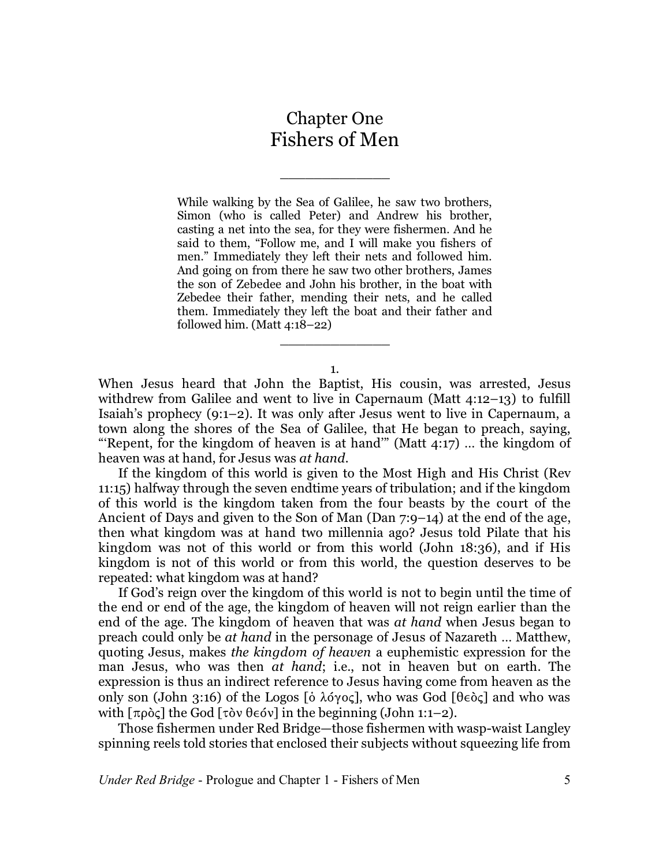## Chapter One Fishers of Men

\_\_\_\_\_\_\_\_\_\_\_\_\_

While walking by the Sea of Galilee, he saw two brothers, Simon (who is called Peter) and Andrew his brother, casting a net into the sea, for they were fishermen. And he said to them, "Follow me, and I will make you fishers of men." Immediately they left their nets and followed him. And going on from there he saw two other brothers, James the son of Zebedee and John his brother, in the boat with Zebedee their father, mending their nets, and he called them. Immediately they left the boat and their father and followed him. (Matt 4:18–22)

1.

 $\overline{\phantom{a}}$  , where  $\overline{\phantom{a}}$ 

When Jesus heard that John the Baptist, His cousin, was arrested, Jesus withdrew from Galilee and went to live in Capernaum (Matt 4:12–13) to fulfill Isaiah's prophecy (9:1–2). It was only after Jesus went to live in Capernaum, a town along the shores of the Sea of Galilee, that He began to preach, saying, "'Repent, for the kingdom of heaven is at hand" (Matt  $4:17$ ) ... the kingdom of heaven was at hand, for Jesus was *at hand*.

If the kingdom of this world is given to the Most High and His Christ (Rev 11:15) halfway through the seven endtime years of tribulation; and if the kingdom of this world is the kingdom taken from the four beasts by the court of the Ancient of Days and given to the Son of Man (Dan 7:9–14) at the end of the age, then what kingdom was at hand two millennia ago? Jesus told Pilate that his kingdom was not of this world or from this world (John 18:36), and if His kingdom is not of this world or from this world, the question deserves to be repeated: what kingdom was at hand?

If God's reign over the kingdom of this world is not to begin until the time of the end or end of the age, the kingdom of heaven will not reign earlier than the end of the age. The kingdom of heaven that was *at hand* when Jesus began to preach could only be *at hand* in the personage of Jesus of Nazareth … Matthew, quoting Jesus, makes *the kingdom of heaven* a euphemistic expression for the man Jesus, who was then *at hand*; i.e., not in heaven but on earth. The expression is thus an indirect reference to Jesus having come from heaven as the only son (John 3:16) of the Logos [ $\delta \lambda$ ó $\gamma$ o $\zeta$ ], who was God [ $\theta \epsilon$ ò $\zeta$ ] and who was with  $\lceil \pi \rho \delta \zeta \rceil$  the God  $\lceil \tau \delta v \theta \epsilon \delta v \rceil$  in the beginning (John 1:1–2).

Those fishermen under Red Bridge—those fishermen with wasp-waist Langley spinning reels told stories that enclosed their subjects without squeezing life from

*Under Red Bridge* - Prologue and Chapter 1 - Fishers of Men 5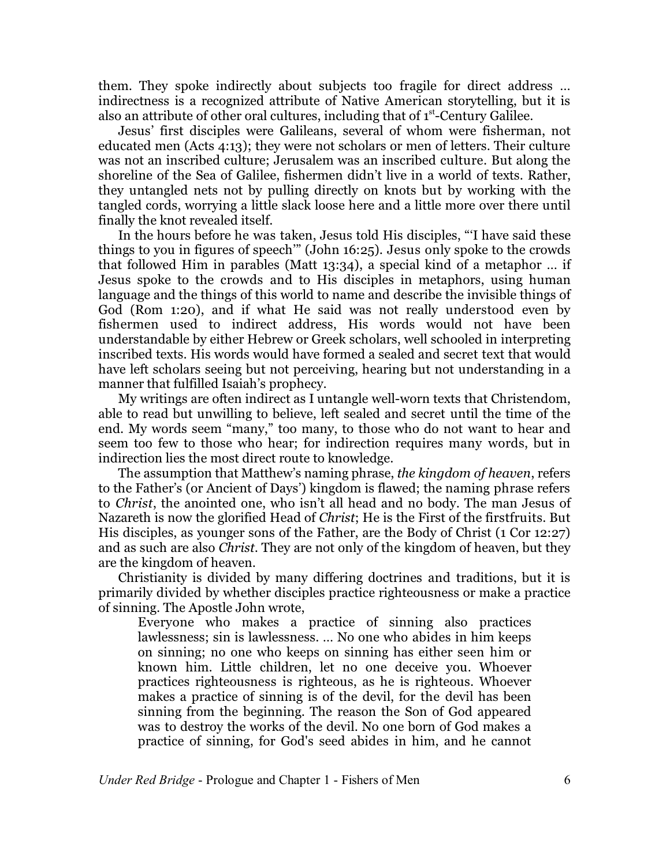them. They spoke indirectly about subjects too fragile for direct address … indirectness is a recognized attribute of Native American storytelling, but it is also an attribute of other oral cultures, including that of 1<sup>st</sup>-Century Galilee.

Jesus' first disciples were Galileans, several of whom were fisherman, not educated men (Acts 4:13); they were not scholars or men of letters. Their culture was not an inscribed culture; Jerusalem was an inscribed culture. But along the shoreline of the Sea of Galilee, fishermen didn't live in a world of texts. Rather, they untangled nets not by pulling directly on knots but by working with the tangled cords, worrying a little slack loose here and a little more over there until finally the knot revealed itself.

In the hours before he was taken, Jesus told His disciples, "'I have said these things to you in figures of speech'" (John 16:25). Jesus only spoke to the crowds that followed Him in parables (Matt 13:34), a special kind of a metaphor … if Jesus spoke to the crowds and to His disciples in metaphors, using human language and the things of this world to name and describe the invisible things of God (Rom 1:20), and if what He said was not really understood even by fishermen used to indirect address, His words would not have been understandable by either Hebrew or Greek scholars, well schooled in interpreting inscribed texts. His words would have formed a sealed and secret text that would have left scholars seeing but not perceiving, hearing but not understanding in a manner that fulfilled Isaiah's prophecy.

My writings are often indirect as I untangle well-worn texts that Christendom, able to read but unwilling to believe, left sealed and secret until the time of the end. My words seem "many," too many, to those who do not want to hear and seem too few to those who hear; for indirection requires many words, but in indirection lies the most direct route to knowledge.

The assumption that Matthew's naming phrase, *the kingdom of heaven*, refers to the Father's (or Ancient of Days') kingdom is flawed; the naming phrase refers to *Christ*, the anointed one, who isn't all head and no body. The man Jesus of Nazareth is now the glorified Head of *Christ*; He is the First of the firstfruits. But His disciples, as younger sons of the Father, are the Body of Christ (1 Cor 12:27) and as such are also *Christ*. They are not only of the kingdom of heaven, but they are the kingdom of heaven.

Christianity is divided by many differing doctrines and traditions, but it is primarily divided by whether disciples practice righteousness or make a practice of sinning. The Apostle John wrote,

Everyone who makes a practice of sinning also practices lawlessness; sin is lawlessness. … No one who abides in him keeps on sinning; no one who keeps on sinning has either seen him or known him. Little children, let no one deceive you. Whoever practices righteousness is righteous, as he is righteous. Whoever makes a practice of sinning is of the devil, for the devil has been sinning from the beginning. The reason the Son of God appeared was to destroy the works of the devil. No one born of God makes a practice of sinning, for God's seed abides in him, and he cannot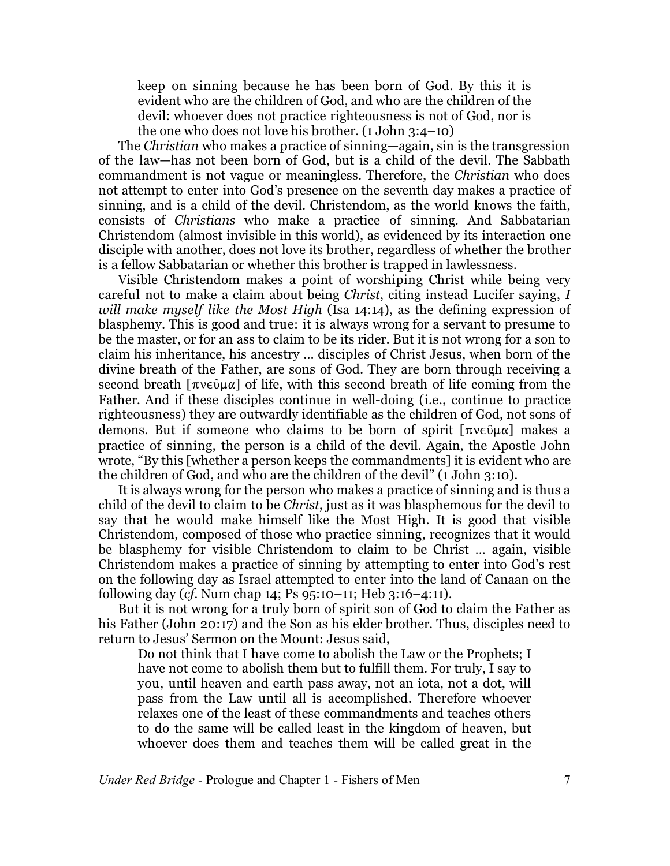keep on sinning because he has been born of God. By this it is evident who are the children of God, and who are the children of the devil: whoever does not practice righteousness is not of God, nor is the one who does not love his brother. (1 John 3:4–10)

The *Christian* who makes a practice of sinning—again, sin is the transgression of the law—has not been born of God, but is a child of the devil. The Sabbath commandment is not vague or meaningless. Therefore, the *Christian* who does not attempt to enter into God's presence on the seventh day makes a practice of sinning, and is a child of the devil. Christendom, as the world knows the faith, consists of *Christians* who make a practice of sinning. And Sabbatarian Christendom (almost invisible in this world), as evidenced by its interaction one disciple with another, does not love its brother, regardless of whether the brother is a fellow Sabbatarian or whether this brother is trapped in lawlessness.

Visible Christendom makes a point of worshiping Christ while being very careful not to make a claim about being *Christ*, citing instead Lucifer saying, *I will make myself like the Most High* (Isa 14:14), as the defining expression of blasphemy. This is good and true: it is always wrong for a servant to presume to be the master, or for an ass to claim to be its rider. But it is not wrong for a son to claim his inheritance, his ancestry … disciples of Christ Jesus, when born of the divine breath of the Father, are sons of God. They are born through receiving a second breath  $[\pi \vee \varphi \vee \pi]$  of life, with this second breath of life coming from the Father. And if these disciples continue in well-doing (i.e., continue to practice righteousness) they are outwardly identifiable as the children of God, not sons of demons. But if someone who claims to be born of spirit  $[\pi \vee \varphi]$  makes a practice of sinning, the person is a child of the devil. Again, the Apostle John wrote, "By this [whether a person keeps the commandments] it is evident who are the children of God, and who are the children of the devil" (1 John 3:10).

It is always wrong for the person who makes a practice of sinning and is thus a child of the devil to claim to be *Christ*, just as it was blasphemous for the devil to say that he would make himself like the Most High. It is good that visible Christendom, composed of those who practice sinning, recognizes that it would be blasphemy for visible Christendom to claim to be Christ … again, visible Christendom makes a practice of sinning by attempting to enter into God's rest on the following day as Israel attempted to enter into the land of Canaan on the following day (*cf*. Num chap 14; Ps 95:10–11; Heb 3:16–4:11).

But it is not wrong for a truly born of spirit son of God to claim the Father as his Father (John 20:17) and the Son as his elder brother. Thus, disciples need to return to Jesus' Sermon on the Mount: Jesus said,

Do not think that I have come to abolish the Law or the Prophets; I have not come to abolish them but to fulfill them. For truly, I say to you, until heaven and earth pass away, not an iota, not a dot, will pass from the Law until all is accomplished. Therefore whoever relaxes one of the least of these commandments and teaches others to do the same will be called least in the kingdom of heaven, but whoever does them and teaches them will be called great in the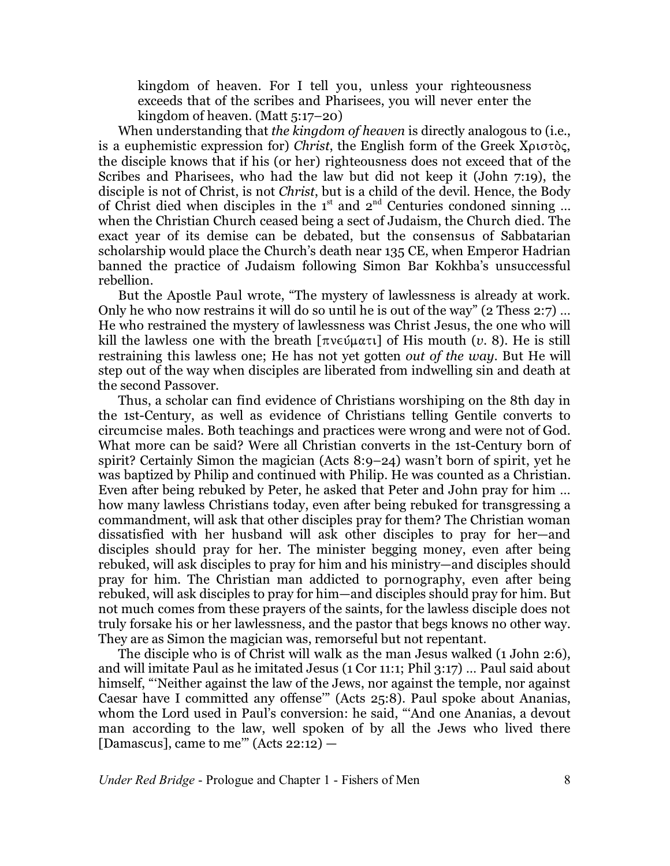kingdom of heaven. For I tell you, unless your righteousness exceeds that of the scribes and Pharisees, you will never enter the kingdom of heaven. (Matt 5:17–20)

When understanding that *the kingdom of heaven* is directly analogous to (i.e., is a euphemistic expression for) *Christ*, the English form of the Greek X<sub>pl</sub>oroc, the disciple knows that if his (or her) righteousness does not exceed that of the Scribes and Pharisees, who had the law but did not keep it (John 7:19), the disciple is not of Christ, is not *Christ*, but is a child of the devil. Hence, the Body of Christ died when disciples in the  $1<sup>st</sup>$  and  $2<sup>nd</sup>$  Centuries condoned sinning ... when the Christian Church ceased being a sect of Judaism, the Church died. The exact year of its demise can be debated, but the consensus of Sabbatarian scholarship would place the Church's death near 135 CE, when Emperor Hadrian banned the practice of Judaism following Simon Bar Kokhba's unsuccessful rebellion.

But the Apostle Paul wrote, "The mystery of lawlessness is already at work. Only he who now restrains it will do so until he is out of the way" (2 Thess 2:7) … He who restrained the mystery of lawlessness was Christ Jesus, the one who will kill the lawless one with the breath  $\lceil \pi v \in \mathfrak{u}(\alpha \pi) \rceil$  of His mouth  $(v, 8)$ . He is still restraining this lawless one; He has not yet gotten *out of the way*. But He will step out of the way when disciples are liberated from indwelling sin and death at the second Passover.

Thus, a scholar can find evidence of Christians worshiping on the 8th day in the 1st-Century, as well as evidence of Christians telling Gentile converts to circumcise males. Both teachings and practices were wrong and were not of God. What more can be said? Were all Christian converts in the 1st-Century born of spirit? Certainly Simon the magician (Acts 8:9–24) wasn't born of spirit, yet he was baptized by Philip and continued with Philip. He was counted as a Christian. Even after being rebuked by Peter, he asked that Peter and John pray for him … how many lawless Christians today, even after being rebuked for transgressing a commandment, will ask that other disciples pray for them? The Christian woman dissatisfied with her husband will ask other disciples to pray for her—and disciples should pray for her. The minister begging money, even after being rebuked, will ask disciples to pray for him and his ministry—and disciples should pray for him. The Christian man addicted to pornography, even after being rebuked, will ask disciples to pray for him—and disciples should pray for him. But not much comes from these prayers of the saints, for the lawless disciple does not truly forsake his or her lawlessness, and the pastor that begs knows no other way. They are as Simon the magician was, remorseful but not repentant.

The disciple who is of Christ will walk as the man Jesus walked (1 John 2:6), and will imitate Paul as he imitated Jesus (1 Cor 11:1; Phil 3:17) … Paul said about himself, "'Neither against the law of the Jews, nor against the temple, nor against Caesar have I committed any offense'" (Acts 25:8). Paul spoke about Ananias, whom the Lord used in Paul's conversion: he said, "'And one Ananias, a devout man according to the law, well spoken of by all the Jews who lived there [Damascus], came to me" (Acts  $22:12$ )  $-$ 

*Under Red Bridge* - Prologue and Chapter 1 - Fishers of Men 8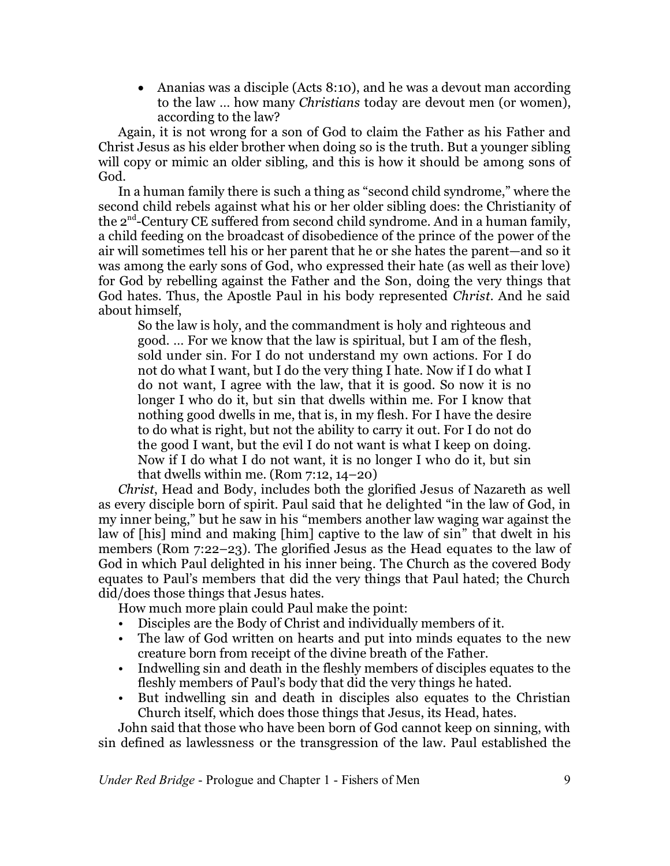• Ananias was a disciple (Acts 8:10), and he was a devout man according to the law … how many *Christians* today are devout men (or women), according to the law?

Again, it is not wrong for a son of God to claim the Father as his Father and Christ Jesus as his elder brother when doing so is the truth. But a younger sibling will copy or mimic an older sibling, and this is how it should be among sons of God.

In a human family there is such a thing as "second child syndrome," where the second child rebels against what his or her older sibling does: the Christianity of the 2 $^{\rm nd}$ -Century CE suffered from second child syndrome. And in a human family, a child feeding on the broadcast of disobedience of the prince of the power of the air will sometimes tell his or her parent that he or she hates the parent—and so it was among the early sons of God, who expressed their hate (as well as their love) for God by rebelling against the Father and the Son, doing the very things that God hates. Thus, the Apostle Paul in his body represented *Christ*. And he said about himself,

So the law is holy, and the commandment is holy and righteous and good. … For we know that the law is spiritual, but I am of the flesh, sold under sin. For I do not understand my own actions. For I do not do what I want, but I do the very thing I hate. Now if I do what I do not want, I agree with the law, that it is good. So now it is no longer I who do it, but sin that dwells within me. For I know that nothing good dwells in me, that is, in my flesh. For I have the desire to do what is right, but not the ability to carry it out. For I do not do the good I want, but the evil I do not want is what I keep on doing. Now if I do what I do not want, it is no longer I who do it, but sin that dwells within me. (Rom 7:12, 14–20)

*Christ*, Head and Body, includes both the glorified Jesus of Nazareth as well as every disciple born of spirit. Paul said that he delighted "in the law of God, in my inner being," but he saw in his "members another law waging war against the law of [his] mind and making [him] captive to the law of sin" that dwelt in his members (Rom 7:22–23). The glorified Jesus as the Head equates to the law of God in which Paul delighted in his inner being. The Church as the covered Body equates to Paul's members that did the very things that Paul hated; the Church did/does those things that Jesus hates.

How much more plain could Paul make the point:

- Disciples are the Body of Christ and individually members of it.
- The law of God written on hearts and put into minds equates to the new creature born from receipt of the divine breath of the Father.
- Indwelling sin and death in the fleshly members of disciples equates to the fleshly members of Paul's body that did the very things he hated.
- But indwelling sin and death in disciples also equates to the Christian Church itself, which does those things that Jesus, its Head, hates.

John said that those who have been born of God cannot keep on sinning, with sin defined as lawlessness or the transgression of the law. Paul established the